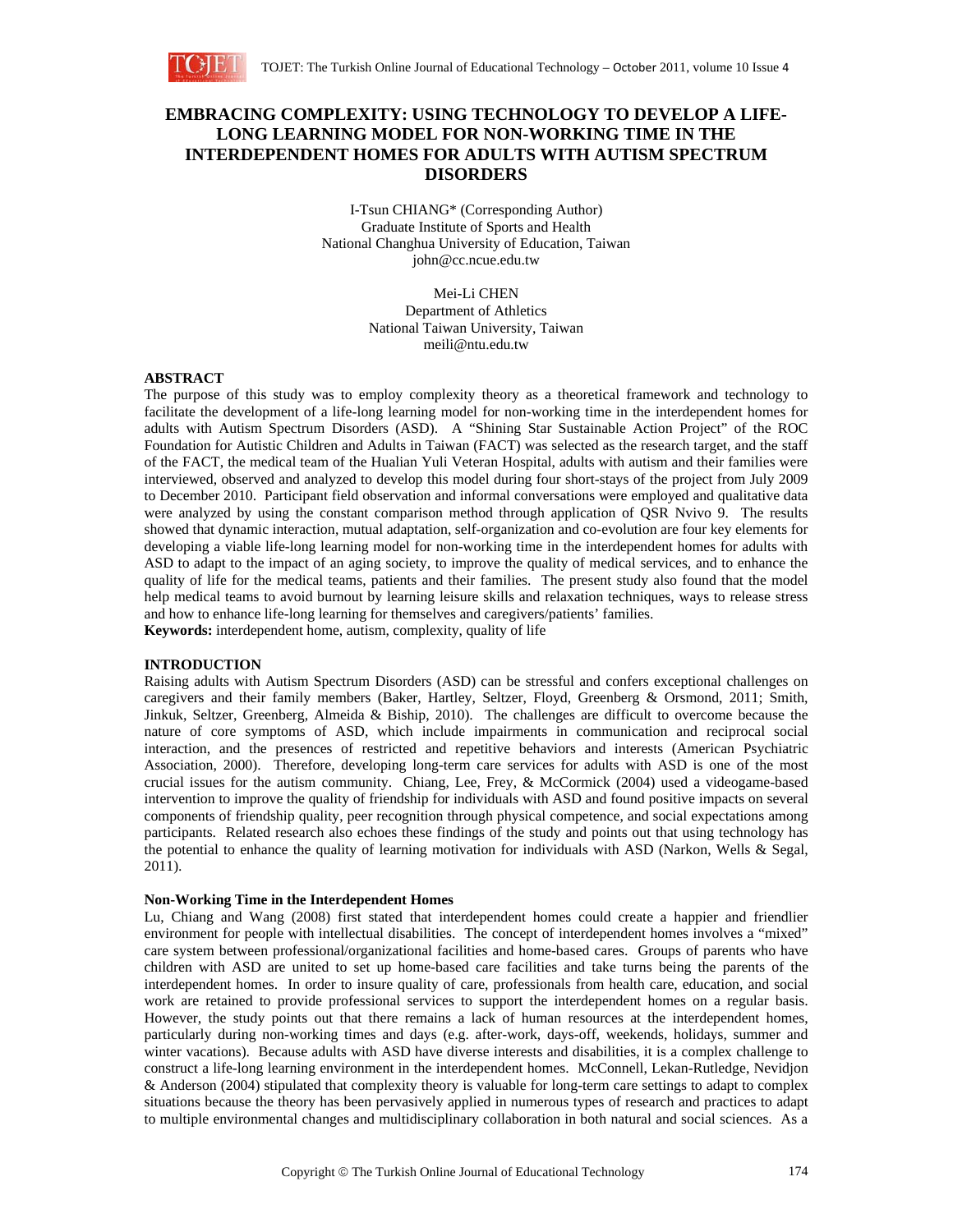

# **EMBRACING COMPLEXITY: USING TECHNOLOGY TO DEVELOP A LIFE-LONG LEARNING MODEL FOR NON-WORKING TIME IN THE INTERDEPENDENT HOMES FOR ADULTS WITH AUTISM SPECTRUM DISORDERS**

I-Tsun CHIANG\* (Corresponding Author) Graduate Institute of Sports and Health National Changhua University of Education, Taiwan john@cc.ncue.edu.tw

> Mei-Li CHEN Department of Athletics National Taiwan University, Taiwan meili@ntu.edu.tw

### **ABSTRACT**

The purpose of this study was to employ complexity theory as a theoretical framework and technology to facilitate the development of a life-long learning model for non-working time in the interdependent homes for adults with Autism Spectrum Disorders (ASD). A "Shining Star Sustainable Action Project" of the ROC Foundation for Autistic Children and Adults in Taiwan (FACT) was selected as the research target, and the staff of the FACT, the medical team of the Hualian Yuli Veteran Hospital, adults with autism and their families were interviewed, observed and analyzed to develop this model during four short-stays of the project from July 2009 to December 2010. Participant field observation and informal conversations were employed and qualitative data were analyzed by using the constant comparison method through application of QSR Nvivo 9. The results showed that dynamic interaction, mutual adaptation, self-organization and co-evolution are four key elements for developing a viable life-long learning model for non-working time in the interdependent homes for adults with ASD to adapt to the impact of an aging society, to improve the quality of medical services, and to enhance the quality of life for the medical teams, patients and their families. The present study also found that the model help medical teams to avoid burnout by learning leisure skills and relaxation techniques, ways to release stress and how to enhance life-long learning for themselves and caregivers/patients' families. **Keywords:** interdependent home, autism, complexity, quality of life

#### **INTRODUCTION**

Raising adults with Autism Spectrum Disorders (ASD) can be stressful and confers exceptional challenges on caregivers and their family members (Baker, Hartley, Seltzer, Floyd, Greenberg & Orsmond, 2011; Smith, Jinkuk, Seltzer, Greenberg, Almeida & Biship, 2010). The challenges are difficult to overcome because the nature of core symptoms of ASD, which include impairments in communication and reciprocal social interaction, and the presences of restricted and repetitive behaviors and interests (American Psychiatric Association, 2000). Therefore, developing long-term care services for adults with ASD is one of the most crucial issues for the autism community. Chiang, Lee, Frey, & McCormick (2004) used a videogame-based intervention to improve the quality of friendship for individuals with ASD and found positive impacts on several components of friendship quality, peer recognition through physical competence, and social expectations among participants. Related research also echoes these findings of the study and points out that using technology has the potential to enhance the quality of learning motivation for individuals with ASD (Narkon, Wells & Segal, 2011).

#### **Non-Working Time in the Interdependent Homes**

Lu, Chiang and Wang (2008) first stated that interdependent homes could create a happier and friendlier environment for people with intellectual disabilities. The concept of interdependent homes involves a "mixed" care system between professional/organizational facilities and home-based cares. Groups of parents who have children with ASD are united to set up home-based care facilities and take turns being the parents of the interdependent homes. In order to insure quality of care, professionals from health care, education, and social work are retained to provide professional services to support the interdependent homes on a regular basis. However, the study points out that there remains a lack of human resources at the interdependent homes, particularly during non-working times and days (e.g. after-work, days-off, weekends, holidays, summer and winter vacations). Because adults with ASD have diverse interests and disabilities, it is a complex challenge to construct a life-long learning environment in the interdependent homes. McConnell, Lekan-Rutledge, Nevidjon & Anderson (2004) stipulated that complexity theory is valuable for long-term care settings to adapt to complex situations because the theory has been pervasively applied in numerous types of research and practices to adapt to multiple environmental changes and multidisciplinary collaboration in both natural and social sciences. As a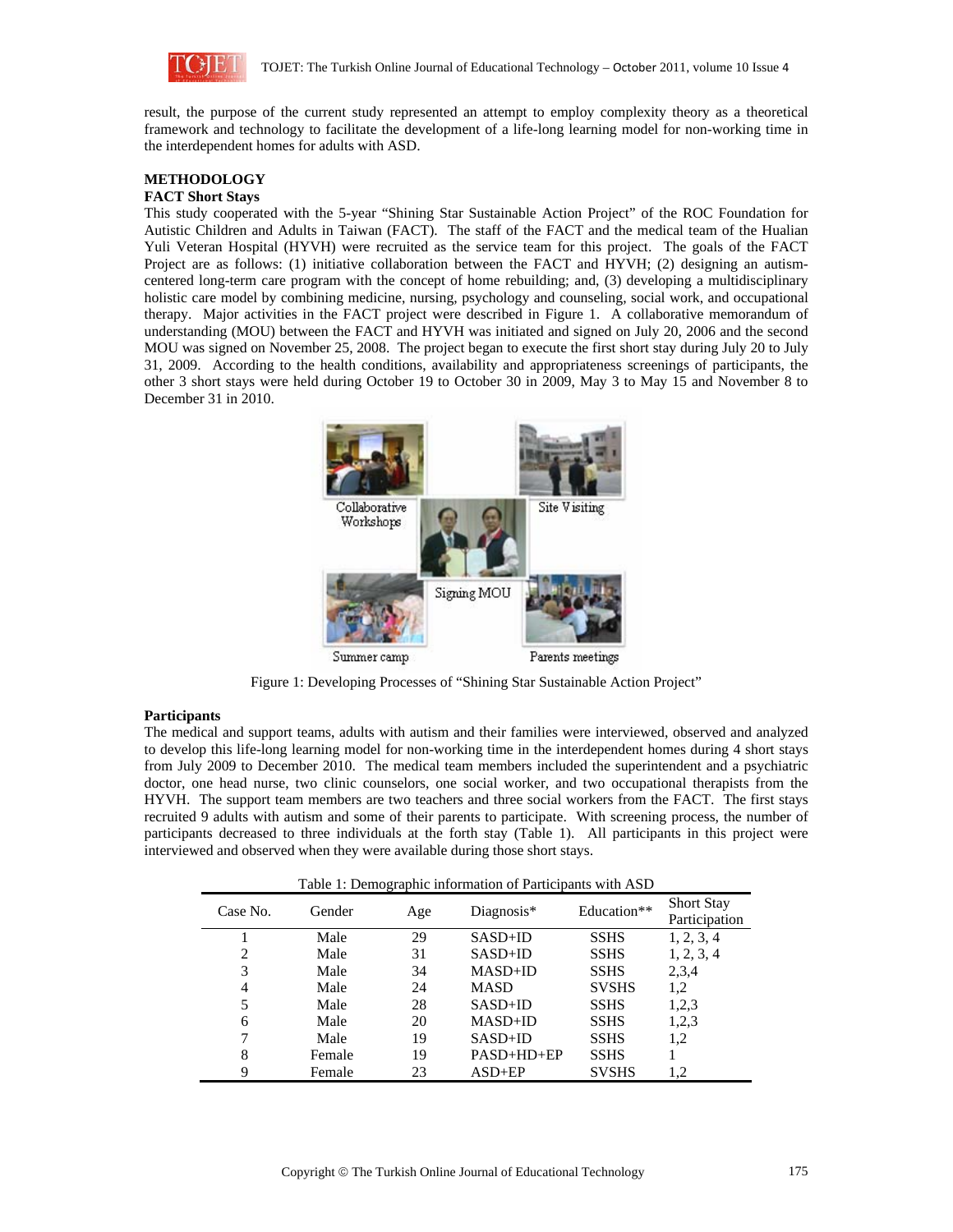

result, the purpose of the current study represented an attempt to employ complexity theory as a theoretical framework and technology to facilitate the development of a life-long learning model for non-working time in the interdependent homes for adults with ASD.

# **METHODOLOGY**

## **FACT Short Stays**

This study cooperated with the 5-year "Shining Star Sustainable Action Project" of the ROC Foundation for Autistic Children and Adults in Taiwan (FACT). The staff of the FACT and the medical team of the Hualian Yuli Veteran Hospital (HYVH) were recruited as the service team for this project. The goals of the FACT Project are as follows: (1) initiative collaboration between the FACT and HYVH; (2) designing an autismcentered long-term care program with the concept of home rebuilding; and, (3) developing a multidisciplinary holistic care model by combining medicine, nursing, psychology and counseling, social work, and occupational therapy. Major activities in the FACT project were described in Figure 1. A collaborative memorandum of understanding (MOU) between the FACT and HYVH was initiated and signed on July 20, 2006 and the second MOU was signed on November 25, 2008. The project began to execute the first short stay during July 20 to July 31, 2009. According to the health conditions, availability and appropriateness screenings of participants, the other 3 short stays were held during October 19 to October 30 in 2009, May 3 to May 15 and November 8 to December 31 in 2010.



Figure 1: Developing Processes of "Shining Star Sustainable Action Project"

### **Participants**

The medical and support teams, adults with autism and their families were interviewed, observed and analyzed to develop this life-long learning model for non-working time in the interdependent homes during 4 short stays from July 2009 to December 2010. The medical team members included the superintendent and a psychiatric doctor, one head nurse, two clinic counselors, one social worker, and two occupational therapists from the HYVH. The support team members are two teachers and three social workers from the FACT. The first stays recruited 9 adults with autism and some of their parents to participate. With screening process, the number of participants decreased to three individuals at the forth stay (Table 1). All participants in this project were interviewed and observed when they were available during those short stays.

| Table 1: Demographic information of Participants with ASD |  |  |  |
|-----------------------------------------------------------|--|--|--|
|-----------------------------------------------------------|--|--|--|

| Case No. | Gender | Age | Diagnosis*   | Education**  | <b>Short Stay</b><br>Participation |
|----------|--------|-----|--------------|--------------|------------------------------------|
|          | Male   | 29  | $SASD+ID$    | <b>SSHS</b>  | 1, 2, 3, 4                         |
| 2        | Male   | 31  | $SASD+ID$    | <b>SSHS</b>  | 1, 2, 3, 4                         |
| 3        | Male   | 34  | $MASD+ID$    | <b>SSHS</b>  | 2,3,4                              |
| 4        | Male   | 24  | <b>MASD</b>  | <b>SVSHS</b> | 1,2                                |
|          | Male   | 28  | $SASD+ID$    | <b>SSHS</b>  | 1,2,3                              |
| 6        | Male   | 20  | $MASD+ID$    | <b>SSHS</b>  | 1,2,3                              |
|          | Male   | 19  | $SASD+ID$    | <b>SSHS</b>  | 1,2                                |
| 8        | Female | 19  | $PASD+HD+EP$ | <b>SSHS</b>  |                                    |
| 9        | Female | 23  | $ASD+EP$     | <b>SVSHS</b> | 1.2                                |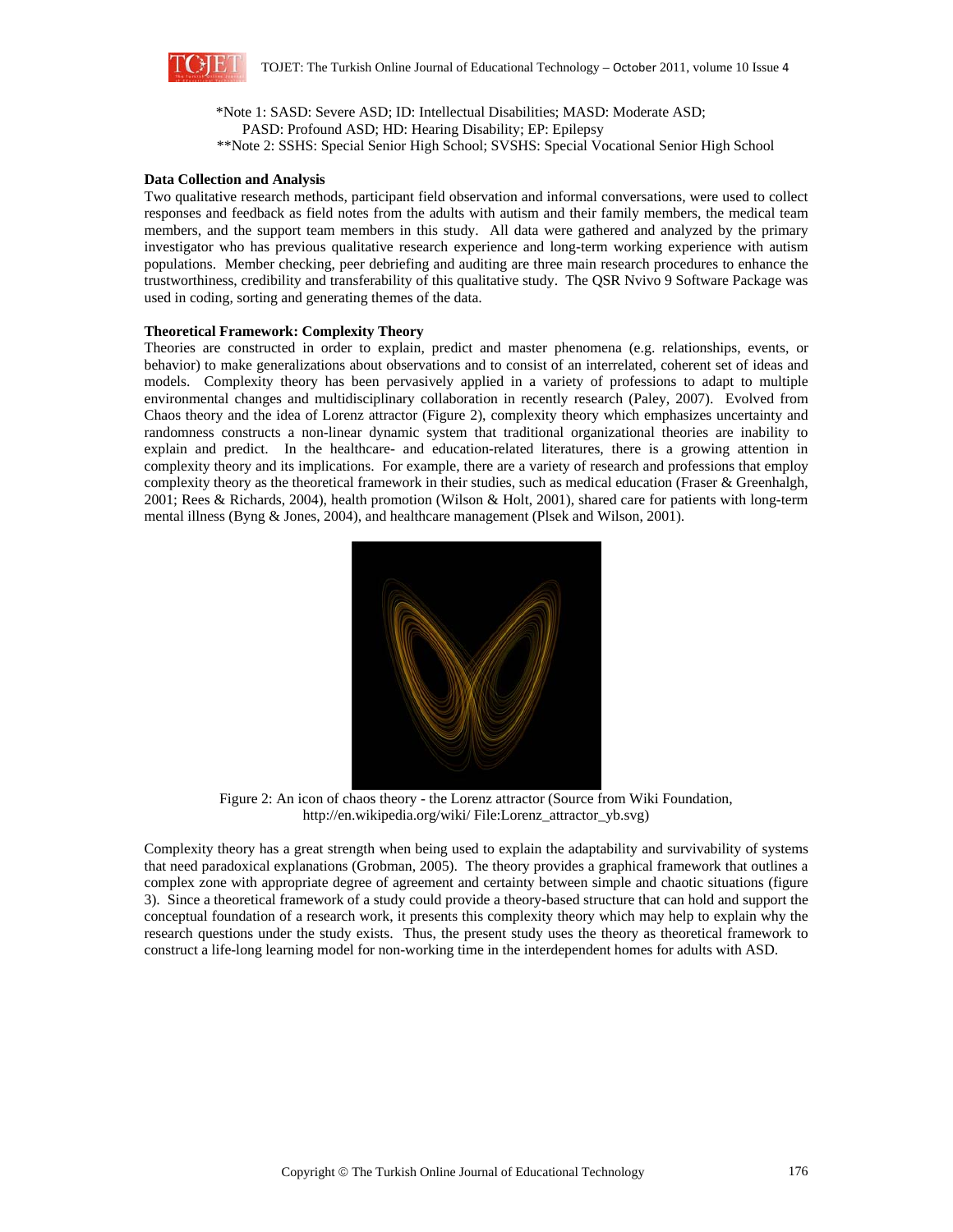

\*Note 1: SASD: Severe ASD; ID: Intellectual Disabilities; MASD: Moderate ASD; PASD: Profound ASD; HD: Hearing Disability; EP: Epilepsy \*\*Note 2: SSHS: Special Senior High School; SVSHS: Special Vocational Senior High School

### **Data Collection and Analysis**

Two qualitative research methods, participant field observation and informal conversations, were used to collect responses and feedback as field notes from the adults with autism and their family members, the medical team members, and the support team members in this study. All data were gathered and analyzed by the primary investigator who has previous qualitative research experience and long-term working experience with autism populations. Member checking, peer debriefing and auditing are three main research procedures to enhance the trustworthiness, credibility and transferability of this qualitative study. The QSR Nvivo 9 Software Package was used in coding, sorting and generating themes of the data.

### **Theoretical Framework: Complexity Theory**

Theories are constructed in order to explain, predict and master phenomena (e.g. relationships, events, or behavior) to make generalizations about observations and to consist of an interrelated, coherent set of ideas and models. Complexity theory has been pervasively applied in a variety of professions to adapt to multiple environmental changes and multidisciplinary collaboration in recently research (Paley, 2007). Evolved from Chaos theory and the idea of Lorenz attractor (Figure 2), complexity theory which emphasizes uncertainty and randomness constructs a non-linear dynamic system that traditional organizational theories are inability to explain and predict. In the healthcare- and education-related literatures, there is a growing attention in complexity theory and its implications. For example, there are a variety of research and professions that employ complexity theory as the theoretical framework in their studies, such as medical education (Fraser & Greenhalgh, 2001; Rees & Richards, 2004), health promotion (Wilson & Holt, 2001), shared care for patients with long-term mental illness (Byng & Jones, 2004), and healthcare management (Plsek and Wilson, 2001).



Figure 2: An icon of chaos theory - the Lorenz attractor (Source from Wiki Foundation, http://en.wikipedia.org/wiki/ File:Lorenz\_attractor\_yb.svg)

Complexity theory has a great strength when being used to explain the adaptability and survivability of systems that need paradoxical explanations (Grobman, 2005). The theory provides a graphical framework that outlines a complex zone with appropriate degree of agreement and certainty between simple and chaotic situations (figure 3). Since a theoretical framework of a study could provide a theory-based structure that can hold and support the conceptual foundation of a research work, it presents this complexity theory which may help to explain why the research questions under the study exists. Thus, the present study uses the theory as theoretical framework to construct a life-long learning model for non-working time in the interdependent homes for adults with ASD.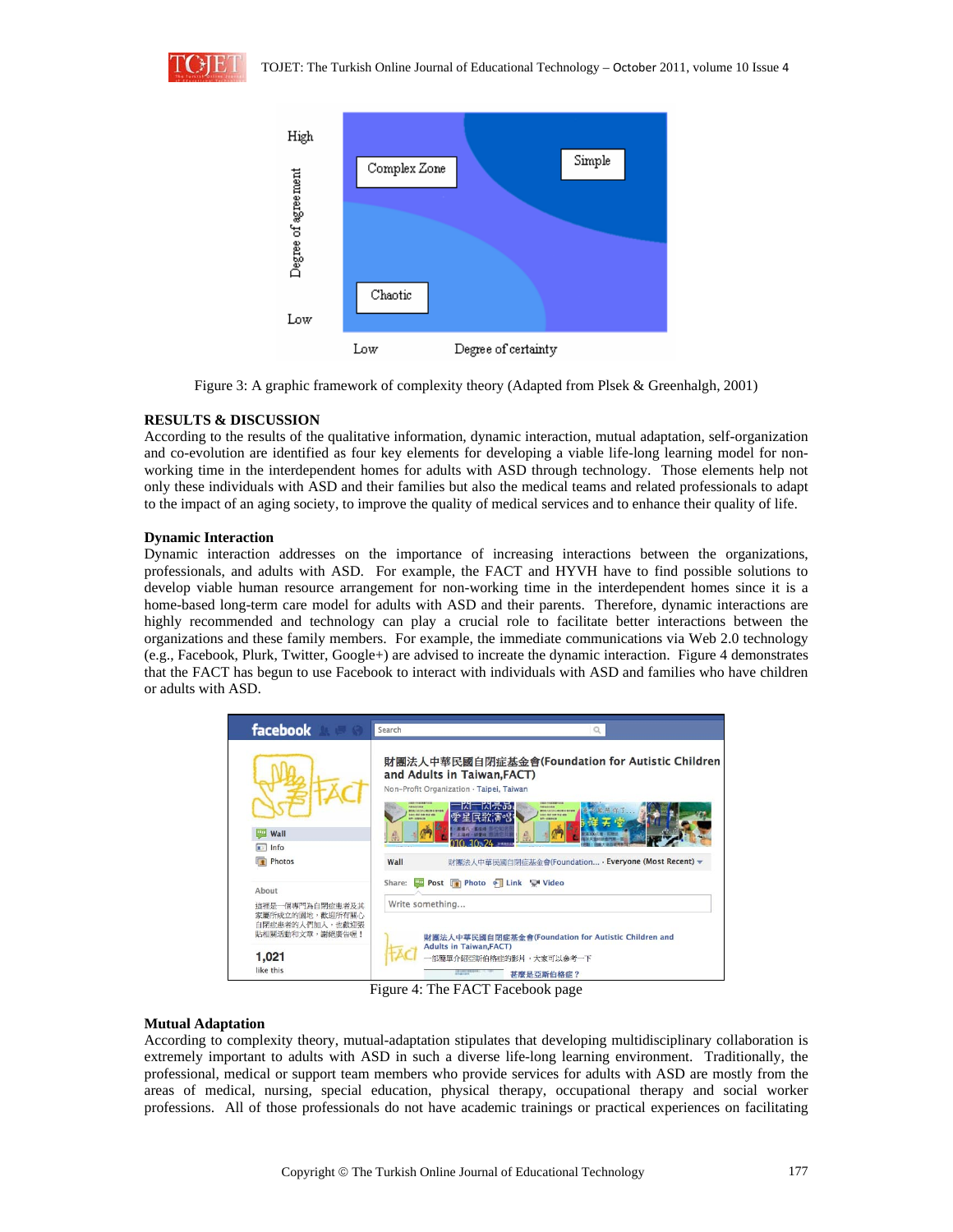



Figure 3: A graphic framework of complexity theory (Adapted from Plsek & Greenhalgh, 2001)

### **RESULTS & DISCUSSION**

According to the results of the qualitative information, dynamic interaction, mutual adaptation, self-organization and co-evolution are identified as four key elements for developing a viable life-long learning model for nonworking time in the interdependent homes for adults with ASD through technology. Those elements help not only these individuals with ASD and their families but also the medical teams and related professionals to adapt to the impact of an aging society, to improve the quality of medical services and to enhance their quality of life.

### **Dynamic Interaction**

Dynamic interaction addresses on the importance of increasing interactions between the organizations, professionals, and adults with ASD. For example, the FACT and HYVH have to find possible solutions to develop viable human resource arrangement for non-working time in the interdependent homes since it is a home-based long-term care model for adults with ASD and their parents. Therefore, dynamic interactions are highly recommended and technology can play a crucial role to facilitate better interactions between the organizations and these family members. For example, the immediate communications via Web 2.0 technology (e.g., Facebook, Plurk, Twitter, Google+) are advised to increate the dynamic interaction. Figure 4 demonstrates that the FACT has begun to use Facebook to interact with individuals with ASD and families who have children or adults with ASD.



Figure 4: The FACT Facebook page

### **Mutual Adaptation**

According to complexity theory, mutual-adaptation stipulates that developing multidisciplinary collaboration is extremely important to adults with ASD in such a diverse life-long learning environment. Traditionally, the professional, medical or support team members who provide services for adults with ASD are mostly from the areas of medical, nursing, special education, physical therapy, occupational therapy and social worker professions. All of those professionals do not have academic trainings or practical experiences on facilitating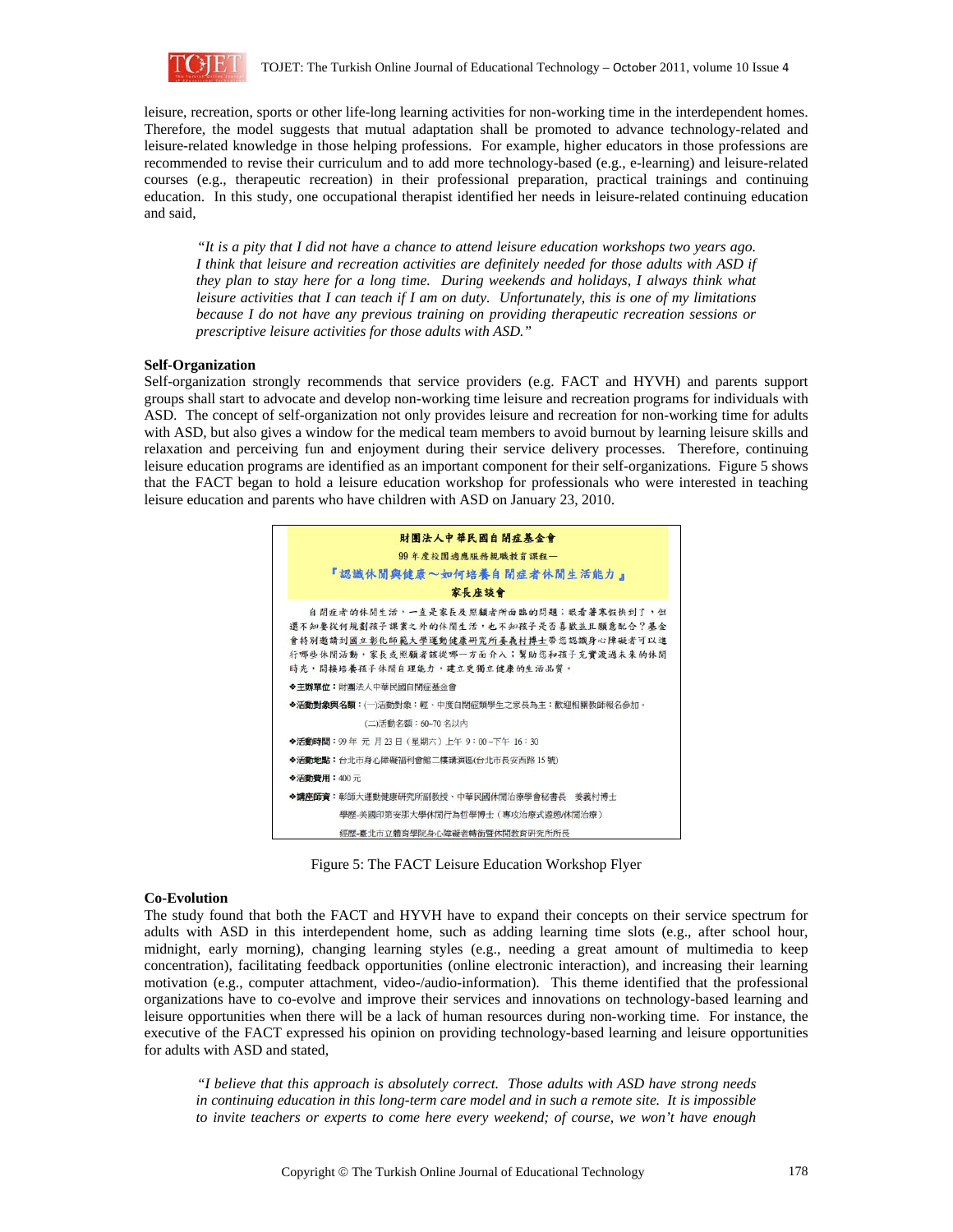

leisure, recreation, sports or other life-long learning activities for non-working time in the interdependent homes. Therefore, the model suggests that mutual adaptation shall be promoted to advance technology-related and leisure-related knowledge in those helping professions. For example, higher educators in those professions are recommended to revise their curriculum and to add more technology-based (e.g., e-learning) and leisure-related courses (e.g., therapeutic recreation) in their professional preparation, practical trainings and continuing education. In this study, one occupational therapist identified her needs in leisure-related continuing education and said,

*"It is a pity that I did not have a chance to attend leisure education workshops two years ago. I think that leisure and recreation activities are definitely needed for those adults with ASD if they plan to stay here for a long time. During weekends and holidays, I always think what leisure activities that I can teach if I am on duty. Unfortunately, this is one of my limitations because I do not have any previous training on providing therapeutic recreation sessions or prescriptive leisure activities for those adults with ASD."* 

#### **Self-Organization**

Self-organization strongly recommends that service providers (e.g. FACT and HYVH) and parents support groups shall start to advocate and develop non-working time leisure and recreation programs for individuals with ASD. The concept of self-organization not only provides leisure and recreation for non-working time for adults with ASD, but also gives a window for the medical team members to avoid burnout by learning leisure skills and relaxation and perceiving fun and enjoyment during their service delivery processes. Therefore, continuing leisure education programs are identified as an important component for their self-organizations. Figure 5 shows that the FACT began to hold a leisure education workshop for professionals who were interested in teaching leisure education and parents who have children with ASD on January 23, 2010.



Figure 5: The FACT Leisure Education Workshop Flyer

### **Co-Evolution**

The study found that both the FACT and HYVH have to expand their concepts on their service spectrum for adults with ASD in this interdependent home, such as adding learning time slots (e.g., after school hour, midnight, early morning), changing learning styles (e.g., needing a great amount of multimedia to keep concentration), facilitating feedback opportunities (online electronic interaction), and increasing their learning motivation (e.g., computer attachment, video-/audio-information). This theme identified that the professional organizations have to co-evolve and improve their services and innovations on technology-based learning and leisure opportunities when there will be a lack of human resources during non-working time. For instance, the executive of the FACT expressed his opinion on providing technology-based learning and leisure opportunities for adults with ASD and stated,

*"I believe that this approach is absolutely correct. Those adults with ASD have strong needs in continuing education in this long-term care model and in such a remote site. It is impossible to invite teachers or experts to come here every weekend; of course, we won't have enough*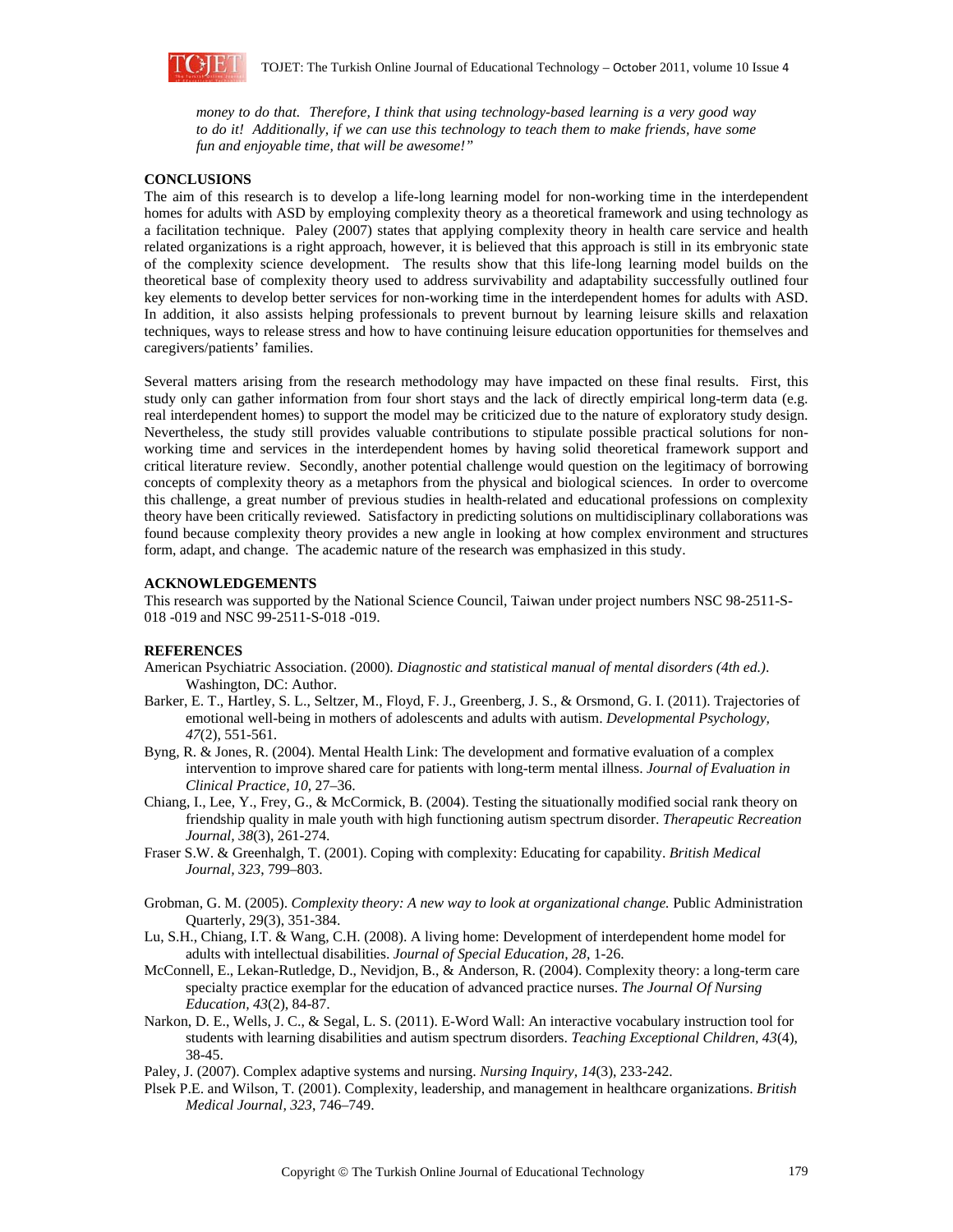

*money to do that. Therefore, I think that using technology-based learning is a very good way to do it! Additionally, if we can use this technology to teach them to make friends, have some fun and enjoyable time, that will be awesome!"* 

### **CONCLUSIONS**

The aim of this research is to develop a life-long learning model for non-working time in the interdependent homes for adults with ASD by employing complexity theory as a theoretical framework and using technology as a facilitation technique. Paley (2007) states that applying complexity theory in health care service and health related organizations is a right approach, however, it is believed that this approach is still in its embryonic state of the complexity science development. The results show that this life-long learning model builds on the theoretical base of complexity theory used to address survivability and adaptability successfully outlined four key elements to develop better services for non-working time in the interdependent homes for adults with ASD. In addition, it also assists helping professionals to prevent burnout by learning leisure skills and relaxation techniques, ways to release stress and how to have continuing leisure education opportunities for themselves and caregivers/patients' families.

Several matters arising from the research methodology may have impacted on these final results. First, this study only can gather information from four short stays and the lack of directly empirical long-term data (e.g. real interdependent homes) to support the model may be criticized due to the nature of exploratory study design. Nevertheless, the study still provides valuable contributions to stipulate possible practical solutions for nonworking time and services in the interdependent homes by having solid theoretical framework support and critical literature review. Secondly, another potential challenge would question on the legitimacy of borrowing concepts of complexity theory as a metaphors from the physical and biological sciences. In order to overcome this challenge, a great number of previous studies in health-related and educational professions on complexity theory have been critically reviewed. Satisfactory in predicting solutions on multidisciplinary collaborations was found because complexity theory provides a new angle in looking at how complex environment and structures form, adapt, and change. The academic nature of the research was emphasized in this study.

### **ACKNOWLEDGEMENTS**

This research was supported by the National Science Council, Taiwan under project numbers NSC 98-2511-S-018 -019 and NSC 99-2511-S-018 -019.

### **REFERENCES**

- American Psychiatric Association. (2000). *Diagnostic and statistical manual of mental disorders (4th ed.)*. Washington, DC: Author.
- Barker, E. T., Hartley, S. L., Seltzer, M., Floyd, F. J., Greenberg, J. S., & Orsmond, G. I. (2011). Trajectories of emotional well-being in mothers of adolescents and adults with autism. *Developmental Psychology, 47*(2), 551-561.
- Byng, R. & Jones, R. (2004). Mental Health Link: The development and formative evaluation of a complex intervention to improve shared care for patients with long-term mental illness. *Journal of Evaluation in Clinical Practice, 10*, 27–36.
- Chiang, I., Lee, Y., Frey, G., & McCormick, B. (2004). Testing the situationally modified social rank theory on friendship quality in male youth with high functioning autism spectrum disorder. *Therapeutic Recreation Journal, 38*(3), 261-274.
- Fraser S.W. & Greenhalgh, T. (2001). Coping with complexity: Educating for capability. *British Medical Journal, 323*, 799–803.
- Grobman, G. M. (2005). *Complexity theory: A new way to look at organizational change.* Public Administration Quarterly, 29(3), 351-384.
- Lu, S.H., Chiang, I.T. & Wang, C.H. (2008). A living home: Development of interdependent home model for adults with intellectual disabilities. *Journal of Special Education, 28*, 1-26.
- McConnell, E., Lekan-Rutledge, D., Nevidjon, B., & Anderson, R. (2004). Complexity theory: a long-term care specialty practice exemplar for the education of advanced practice nurses. *The Journal Of Nursing Education, 43*(2), 84-87.
- Narkon, D. E., Wells, J. C., & Segal, L. S. (2011). E-Word Wall: An interactive vocabulary instruction tool for students with learning disabilities and autism spectrum disorders. *Teaching Exceptional Children, 43*(4), 38-45.
- Paley, J. (2007). Complex adaptive systems and nursing. *Nursing Inquiry, 14*(3), 233-242.
- Plsek P.E. and Wilson, T. (2001). Complexity, leadership, and management in healthcare organizations. *British Medical Journal, 323*, 746–749.